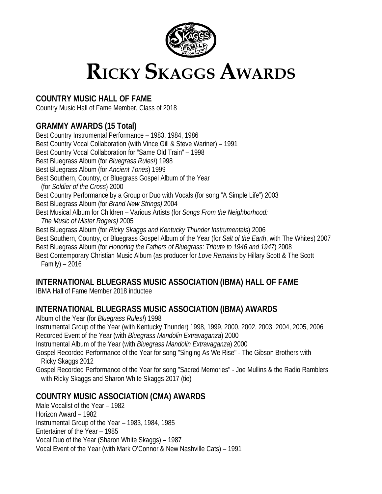

# **RICKY SKAGGS AWARDS**

# **COUNTRY MUSIC HALL OF FAME**

Country Music Hall of Fame Member, Class of 2018

# **GRAMMY AWARDS (15 Total)**

Best Country Instrumental Performance – 1983, 1984, 1986 Best Country Vocal Collaboration (with Vince Gill & Steve Wariner) – 1991 Best Country Vocal Collaboration for "Same Old Train" – 1998 Best Bluegrass Album (for *Bluegrass Rules!*) 1998 Best Bluegrass Album (for *Ancient Tones*) 1999 Best Southern, Country, or Bluegrass Gospel Album of the Year (for *Soldier of the Cross*) 2000 Best Country Performance by a Group or Duo with Vocals (for song "A Simple Life") 2003 Best Bluegrass Album (for *Brand New Strings)* 2004 Best Musical Album for Children – Various Artists (for *Songs From the Neighborhood: The Music of Mister Rogers)* 2005 Best Bluegrass Album (for *Ricky Skaggs and Kentucky Thunder Instrumentals*) 2006 Best Southern, Country, or Bluegrass Gospel Album of the Year (for *Salt of the Earth*, with The Whites) 2007 Best Bluegrass Album (for *Honoring the Fathers of Bluegrass: Tribute to 1946 and 1947*) 2008 Best Contemporary Christian Music Album (as producer for *Love Remains* by Hillary Scott & The Scott Family) – 2016

# **INTERNATIONAL BLUEGRASS MUSIC ASSOCIATION (IBMA) HALL OF FAME**

IBMA Hall of Fame Member 2018 inductee

# **INTERNATIONAL BLUEGRASS MUSIC ASSOCIATION (IBMA) AWARDS**

Album of the Year (for *Bluegrass Rules!*) 1998 Instrumental Group of the Year (with Kentucky Thunder) 1998, 1999, 2000, 2002, 2003, 2004, 2005, 2006

Recorded Event of the Year (with *Bluegrass Mandolin Extravaganza*) 2000

Instrumental Album of the Year (with *Bluegrass Mandolin Extravaganza*) 2000

Gospel Recorded Performance of the Year for song "Singing As We Rise" - The Gibson Brothers with Ricky Skaggs 2012

Gospel Recorded Performance of the Year for song "Sacred Memories" - Joe Mullins & the Radio Ramblers with Ricky Skaggs and Sharon White Skaggs 2017 (tie)

# **COUNTRY MUSIC ASSOCIATION (CMA) AWARDS**

Male Vocalist of the Year – 1982 Horizon Award – 1982 Instrumental Group of the Year – 1983, 1984, 1985 Entertainer of the Year – 1985 Vocal Duo of the Year (Sharon White Skaggs) – 1987 Vocal Event of the Year (with Mark O'Connor & New Nashville Cats) – 1991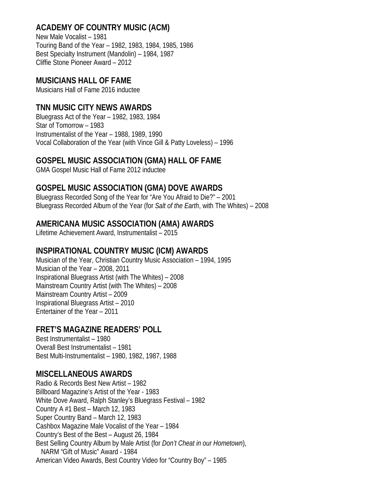# **ACADEMY OF COUNTRY MUSIC (ACM)**

New Male Vocalist – 1981 Touring Band of the Year – 1982, 1983, 1984, 1985, 1986 Best Specialty Instrument (Mandolin) – 1984, 1987 Cliffie Stone Pioneer Award – 2012

## **MUSICIANS HALL OF FAME**

Musicians Hall of Fame 2016 inductee

## **TNN MUSIC CITY NEWS AWARDS**

Bluegrass Act of the Year – 1982, 1983, 1984 Star of Tomorrow – 1983 Instrumentalist of the Year – 1988, 1989, 1990 Vocal Collaboration of the Year (with Vince Gill & Patty Loveless) – 1996

### **GOSPEL MUSIC ASSOCIATION (GMA) HALL OF FAME**

GMA Gospel Music Hall of Fame 2012 inductee

## **GOSPEL MUSIC ASSOCIATION (GMA) DOVE AWARDS**

Bluegrass Recorded Song of the Year for "Are You Afraid to Die?" – 2001 Bluegrass Recorded Album of the Year (for *Salt of the Earth*, with The Whites) – 2008

## **AMERICANA MUSIC ASSOCIATION (AMA) AWARDS**

Lifetime Achievement Award, Instrumentalist – 2015

### **INSPIRATIONAL COUNTRY MUSIC (ICM) AWARDS**

Musician of the Year, Christian Country Music Association – 1994, 1995 Musician of the Year – 2008, 2011 Inspirational Bluegrass Artist (with The Whites) – 2008 Mainstream Country Artist (with The Whites) – 2008 Mainstream Country Artist – 2009 Inspirational Bluegrass Artist – 2010 Entertainer of the Year – 2011

### **FRET'S MAGAZINE READERS' POLL**

Best Instrumentalist – 1980 Overall Best Instrumentalist – 1981 Best Multi-Instrumentalist – 1980, 1982, 1987, 1988

### **MISCELLANEOUS AWARDS**

Radio & Records Best New Artist – 1982 Billboard Magazine's Artist of the Year - 1983 White Dove Award, Ralph Stanley's Bluegrass Festival – 1982 Country A #1 Best – March 12, 1983 Super Country Band – March 12, 1983 Cashbox Magazine Male Vocalist of the Year – 1984 Country's Best of the Best – August 26, 1984 Best Selling Country Album by Male Artist (for *Don't Cheat in our Hometown*), NARM "Gift of Music" Award - 1984 American Video Awards, Best Country Video for "Country Boy" – 1985